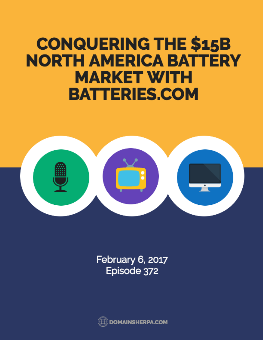## **CONQUERING THE \$15B NORTH AMERICA BATTERY MARKET WITH BATTERIES.COM**



February 6, 2017 Episode 372

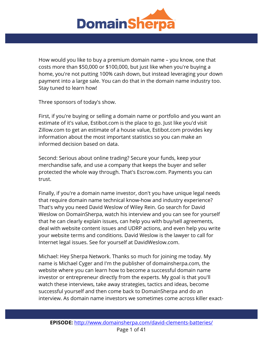

How would you like to buy a premium domain name – you know, one that costs more than \$50,000 or \$100,000, but just like when you're buying a home, you're not putting 100% cash down, but instead leveraging your down payment into a large sale. You can do that in the domain name industry too. Stay tuned to learn how!

Three sponsors of today's show.

First, if you're buying or selling a domain name or portfolio and you want an estimate of it's value, Estibot.com is the place to go. Just like you'd visit Zillow.com to get an estimate of a house value, Estibot.com provides key information about the most important statistics so you can make an informed decision based on data.

Second: Serious about online trading? Secure your funds, keep your merchandise safe, and use a company that keeps the buyer and seller protected the whole way through. That's Escrow.com. Payments you can trust.

Finally, if you're a domain name investor, don't you have unique legal needs that require domain name technical know-how and industry experience? That's why you need David Weslow of Wiley Rein. Go search for David Weslow on DomainSherpa, watch his interview and you can see for yourself that he can clearly explain issues, can help you with buy/sell agreements, deal with website content issues and UDRP actions, and even help you write your website terms and conditions. David Weslow is the lawyer to call for Internet legal issues. See for yourself at DavidWeslow.com.

Michael: Hey Sherpa Network. Thanks so much for joining me today. My name is Michael Cyger and I'm the publisher of domainsherpa.com, the website where you can learn how to become a successful domain name investor or entrepreneur directly from the experts. My goal is that you'll watch these interviews, take away strategies, tactics and ideas, become successful yourself and then come back to DomainSherpa and do an interview. As domain name investors we sometimes come across killer exact-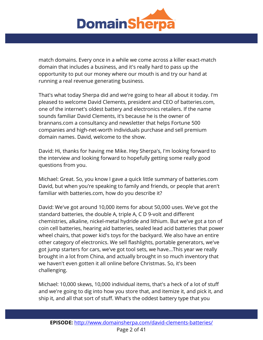

match domains. Every once in a while we come across a killer exact-match domain that includes a business, and it's really hard to pass up the opportunity to put our money where our mouth is and try our hand at running a real revenue generating business.

That's what today Sherpa did and we're going to hear all about it today. I'm pleased to welcome David Clements, president and CEO of batteries.com, one of the internet's oldest battery and electronics retailers. If the name sounds familiar David Clements, it's because he is the owner of brannans.com a consultancy and newsletter that helps Fortune 500 companies and high-net-worth individuals purchase and sell premium domain names. David, welcome to the show.

David: Hi, thanks for having me Mike. Hey Sherpa's, I'm looking forward to the interview and looking forward to hopefully getting some really good questions from you.

Michael: Great. So, you know I gave a quick little summary of batteries.com David, but when you're speaking to family and friends, or people that aren't familiar with batteries.com, how do you describe it?

David: We've got around 10,000 items for about 50,000 uses. We've got the standard batteries, the double A, triple A, C D 9-volt and different chemistries, alkaline, nickel-metal hydride and lithium. But we've got a ton of coin cell batteries, hearing aid batteries, sealed lead acid batteries that power wheel chairs, that power kid's toys for the backyard. We also have an entire other category of electronics. We sell flashlights, portable generators, we've got jump starters for cars, we've got tool sets, we have...This year we really brought in a lot from China, and actually brought in so much inventory that we haven't even gotten it all online before Christmas. So, it's been challenging.

Michael: 10,000 skews, 10,000 individual items, that's a heck of a lot of stuff and we're going to dig into how you store that, and itemize it, and pick it, and ship it, and all that sort of stuff. What's the oddest battery type that you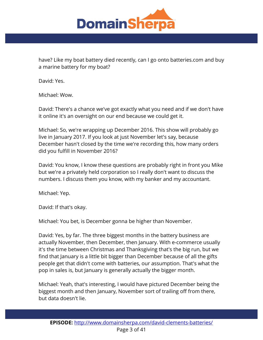

have? Like my boat battery died recently, can I go onto batteries.com and buy a marine battery for my boat?

David: Yes.

Michael: Wow.

David: There's a chance we've got exactly what you need and if we don't have it online it's an oversight on our end because we could get it.

Michael: So, we're wrapping up December 2016. This show will probably go live in January 2017. If you look at just November let's say, because December hasn't closed by the time we're recording this, how many orders did you fulfill in November 2016?

David: You know, I know these questions are probably right in front you Mike but we're a privately held corporation so I really don't want to discuss the numbers. I discuss them you know, with my banker and my accountant.

Michael: Yep.

David: If that's okay.

Michael: You bet, is December gonna be higher than November.

David: Yes, by far. The three biggest months in the battery business are actually November, then December, then January. With e-commerce usually it's the time between Christmas and Thanksgiving that's the big run, but we find that January is a little bit bigger than December because of all the gifts people get that didn't come with batteries, our assumption. That's what the pop in sales is, but January is generally actually the bigger month.

Michael: Yeah, that's interesting, I would have pictured December being the biggest month and then January, November sort of trailing off from there, but data doesn't lie.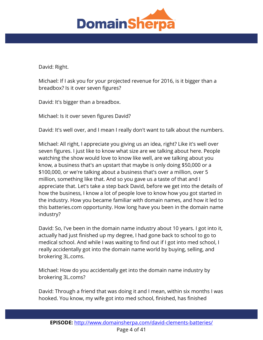

David: Right.

Michael: If I ask you for your projected revenue for 2016, is it bigger than a breadbox? Is it over seven figures?

David: It's bigger than a breadbox.

Michael: Is it over seven figures David?

David: It's well over, and I mean I really don't want to talk about the numbers.

Michael: All right, I appreciate you giving us an idea, right? Like it's well over seven figures. I just like to know what size are we talking about here. People watching the show would love to know like well, are we talking about you know, a business that's an upstart that maybe is only doing \$50,000 or a \$100,000, or we're talking about a business that's over a million, over 5 million, something like that. And so you gave us a taste of that and I appreciate that. Let's take a step back David, before we get into the details of how the business, I know a lot of people love to know how you got started in the industry. How you became familiar with domain names, and how it led to this batteries.com opportunity. How long have you been in the domain name industry?

David: So, I've been in the domain name industry about 10 years. I got into it, actually had just finished up my degree, I had gone back to school to go to medical school. And while I was waiting to find out if I got into med school, I really accidentally got into the domain name world by buying, selling, and brokering 3L.coms.

Michael: How do you accidentally get into the domain name industry by brokering 3L.coms?

David: Through a friend that was doing it and I mean, within six months I was hooked. You know, my wife got into med school, finished, has finished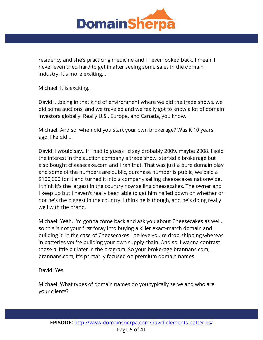

residency and she's practicing medicine and I never looked back. I mean, I never even tried hard to get in after seeing some sales in the domain industry. It's more exciting...

Michael: It is exciting.

David: ...being in that kind of environment where we did the trade shows, we did some auctions, and we traveled and we really got to know a lot of domain investors globally. Really U.S., Europe, and Canada, you know.

Michael: And so, when did you start your own brokerage? Was it 10 years ago, like did...

David: I would say...If I had to guess I'd say probably 2009, maybe 2008. I sold the interest in the auction company a trade show, started a brokerage but I also bought cheesecake.com and I ran that. That was just a pure domain play and some of the numbers are public, purchase number is public, we paid a \$100,000 for it and turned it into a company selling cheesecakes nationwide. I think it's the largest in the country now selling cheesecakes. The owner and I keep up but I haven't really been able to get him nailed down on whether or not he's the biggest in the country. I think he is though, and he's doing really well with the brand.

Michael: Yeah, I'm gonna come back and ask you about Cheesecakes as well, so this is not your first foray into buying a killer exact-match domain and building it, in the case of Cheesecakes I believe you're drop-shipping whereas in batteries you're building your own supply chain. And so, I wanna contrast those a little bit later in the program. So your brokerage brannans.com, brannans.com, it's primarily focused on premium domain names.

David: Yes.

Michael: What types of domain names do you typically serve and who are your clients?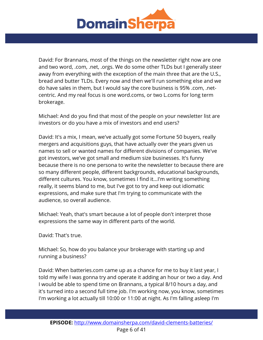

David: For Brannans, most of the things on the newsletter right now are one and two word, .com, .net, .orgs. We do some other TLDs but I generally steer away from everything with the exception of the main three that are the U.S., bread and butter TLDs. Every now and then we'll run something else and we do have sales in them, but I would say the core business is 95% .com, .netcentric. And my real focus is one word.coms, or two L.coms for long term brokerage.

Michael: And do you find that most of the people on your newsletter list are investors or do you have a mix of investors and end users?

David: It's a mix, I mean, we've actually got some Fortune 50 buyers, really mergers and acquisitions guys, that have actually over the years given us names to sell or wanted names for different divisions of companies. We've got investors, we've got small and medium size businesses. It's funny because there is no one persona to write the newsletter to because there are so many different people, different backgrounds, educational backgrounds, different cultures. You know, sometimes I find it...I'm writing something really, it seems bland to me, but I've got to try and keep out idiomatic expressions, and make sure that I'm trying to communicate with the audience, so overall audience.

Michael: Yeah, that's smart because a lot of people don't interpret those expressions the same way in different parts of the world.

David: That's true.

Michael: So, how do you balance your brokerage with starting up and running a business?

David: When batteries.com came up as a chance for me to buy it last year, I told my wife I was gonna try and operate it adding an hour or two a day. And I would be able to spend time on Brannans, a typical 8/10 hours a day, and it's turned into a second full time job. I'm working now, you know, sometimes I'm working a lot actually till 10:00 or 11:00 at night. As I'm falling asleep I'm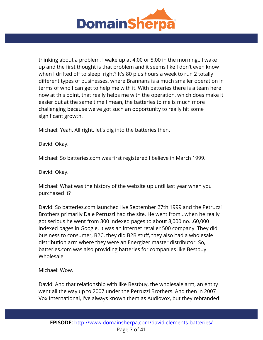

thinking about a problem, I wake up at 4:00 or 5:00 in the morning...I wake up and the first thought is that problem and it seems like I don't even know when I drifted off to sleep, right? It's 80 plus hours a week to run 2 totally different types of businesses, where Brannans is a much smaller operation in terms of who I can get to help me with it. With batteries there is a team here now at this point, that really helps me with the operation, which does make it easier but at the same time I mean, the batteries to me is much more challenging because we've got such an opportunity to really hit some significant growth.

Michael: Yeah. All right, let's dig into the batteries then.

David: Okay.

Michael: So batteries.com was first registered I believe in March 1999.

David: Okay.

Michael: What was the history of the website up until last year when you purchased it?

David: So batteries.com launched live September 27th 1999 and the Petruzzi Brothers primarily Dale Petruzzi had the site. He went from...when he really got serious he went from 300 indexed pages to about 8,000 no...60,000 indexed pages in Google. It was an internet retailer 500 company. They did business to consumer, B2C, they did B2B stuff, they also had a wholesale distribution arm where they were an Energizer master distributor. So, batteries.com was also providing batteries for companies like Bestbuy Wholesale.

Michael: Wow.

David: And that relationship with like Bestbuy, the wholesale arm, an entity went all the way up to 2007 under the Petruzzi Brothers. And then in 2007 Vox International, I've always known them as Audiovox, but they rebranded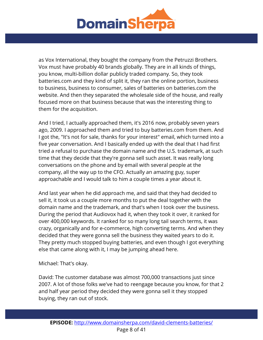

as Vox International, they bought the company from the Petruzzi Brothers. Vox must have probably 40 brands globally. They are in all kinds of things, you know, multi-billion dollar publicly traded company. So, they took batteries.com and they kind of split it, they ran the online portion, business to business, business to consumer, sales of batteries on batteries.com the website. And then they separated the wholesale side of the house, and really focused more on that business because that was the interesting thing to them for the acquisition.

And I tried, I actually approached them, it's 2016 now, probably seven years ago, 2009. I approached them and tried to buy batteries.com from them. And I got the, "It's not for sale, thanks for your interest" email, which turned into a five year conversation. And I basically ended up with the deal that I had first tried a refusal to purchase the domain name and the U.S. trademark, at such time that they decide that they're gonna sell such asset. It was really long conversations on the phone and by email with several people at the company, all the way up to the CFO. Actually an amazing guy, super approachable and I would talk to him a couple times a year about it.

And last year when he did approach me, and said that they had decided to sell it, it took us a couple more months to put the deal together with the domain name and the trademark, and that's when I took over the business. During the period that Audiovox had it, when they took it over, it ranked for over 400,000 keywords. It ranked for so many long tail search terms, it was crazy, organically and for e-commerce, high converting terms. And when they decided that they were gonna sell the business they waited years to do it. They pretty much stopped buying batteries, and even though I got everything else that came along with it, I may be jumping ahead here.

Michael: That's okay.

David: The customer database was almost 700,000 transactions just since 2007. A lot of those folks we've had to reengage because you know, for that 2 and half year period they decided they were gonna sell it they stopped buying, they ran out of stock.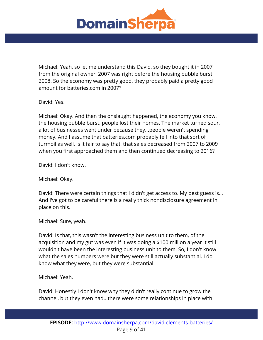

Michael: Yeah, so let me understand this David, so they bought it in 2007 from the original owner, 2007 was right before the housing bubble burst 2008. So the economy was pretty good, they probably paid a pretty good amount for batteries.com in 2007?

David: Yes.

Michael: Okay. And then the onslaught happened, the economy you know, the housing bubble burst, people lost their homes. The market turned sour, a lot of businesses went under because they...people weren't spending money. And I assume that batteries.com probably fell into that sort of turmoil as well, is it fair to say that, that sales decreased from 2007 to 2009 when you first approached them and then continued decreasing to 2016?

David: I don't know.

Michael: Okay.

David: There were certain things that I didn't get access to. My best guess is... And I've got to be careful there is a really thick nondisclosure agreement in place on this.

Michael: Sure, yeah.

David: Is that, this wasn't the interesting business unit to them, of the acquisition and my gut was even if it was doing a \$100 million a year it still wouldn't have been the interesting business unit to them. So, I don't know what the sales numbers were but they were still actually substantial. I do know what they were, but they were substantial.

Michael: Yeah.

David: Honestly I don't know why they didn't really continue to grow the channel, but they even had...there were some relationships in place with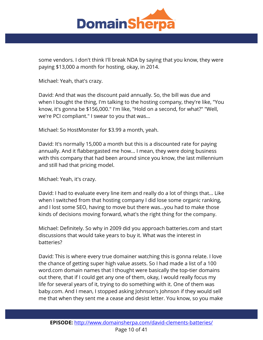

some vendors. I don't think I'll break NDA by saying that you know, they were paying \$13,000 a month for hosting, okay, in 2014.

Michael: Yeah, that's crazy.

David: And that was the discount paid annually. So, the bill was due and when I bought the thing, I'm talking to the hosting company, they're like, "You know, it's gonna be \$156,000." I'm like, "Hold on a second, for what?" "Well, we're PCI compliant." I swear to you that was...

Michael: So HostMonster for \$3.99 a month, yeah.

David: It's normally 15,000 a month but this is a discounted rate for paying annually. And it flabbergasted me how... I mean, they were doing business with this company that had been around since you know, the last millennium and still had that pricing model.

Michael: Yeah, it's crazy.

David: I had to evaluate every line item and really do a lot of things that... Like when I switched from that hosting company I did lose some organic ranking, and I lost some SEO, having to move but there was...you had to make those kinds of decisions moving forward, what's the right thing for the company.

Michael: Definitely. So why in 2009 did you approach batteries.com and start discussions that would take years to buy it. What was the interest in batteries?

David: This is where every true domainer watching this is gonna relate. I love the chance of getting super high value assets. So I had made a list of a 100 word.com domain names that I thought were basically the top-tier domains out there, that if I could get any one of them, okay, I would really focus my life for several years of it, trying to do something with it. One of them was baby.com. And I mean, I stopped asking Johnson's Johnson if they would sell me that when they sent me a cease and desist letter. You know, so you make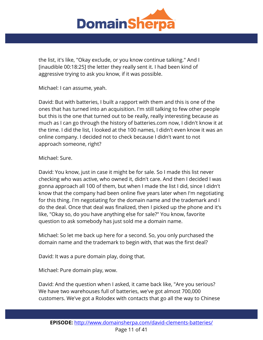

the list, it's like, "Okay exclude, or you know continue talking." And I [inaudible 00:18:25] the letter they really sent it. I had been kind of aggressive trying to ask you know, if it was possible.

Michael: I can assume, yeah.

David: But with batteries, I built a rapport with them and this is one of the ones that has turned into an acquisition. I'm still talking to few other people but this is the one that turned out to be really, really interesting because as much as I can go through the history of batteries.com now, I didn't know it at the time. I did the list, I looked at the 100 names, I didn't even know it was an online company. I decided not to check because I didn't want to not approach someone, right?

## Michael: Sure.

David: You know, just in case it might be for sale. So I made this list never checking who was active, who owned it, didn't care. And then I decided I was gonna approach all 100 of them, but when I made the list I did, since I didn't know that the company had been online five years later when I'm negotiating for this thing. I'm negotiating for the domain name and the trademark and I do the deal. Once that deal was finalized, then I picked up the phone and it's like, "Okay so, do you have anything else for sale?" You know, favorite question to ask somebody has just sold me a domain name.

Michael: So let me back up here for a second. So, you only purchased the domain name and the trademark to begin with, that was the first deal?

David: It was a pure domain play, doing that.

Michael: Pure domain play, wow.

David: And the question when I asked, it came back like, "Are you serious? We have two warehouses full of batteries, we've got almost 700,000 customers. We've got a Rolodex with contacts that go all the way to Chinese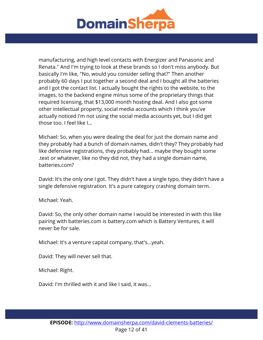

manufacturing, and high level contacts with Energizer and Panasonic and Renata." And I'm trying to look at these brands so I don't miss anybody. But basically I'm like, "No, would you consider selling that?" Then another probably 60 days I put together a second deal and I bought all the batteries and I got the contact list. I actually bought the rights to the website, to the images, to the backend engine minus some of the proprietary things that required licensing, that \$13,000 month hosting deal. And I also got some other intellectual property, social media accounts which I think you've actually noticed I'm not using the social media accounts yet, but I did get those too. I feel like I...

Michael: So, when you were dealing the deal for just the domain name and they probably had a bunch of domain names, didn't they? They probably had like defensive registrations, they probably had... maybe they bought some .text or whatever, like no they did not, they had a single domain name, batteries.com?

David: It's the only one I got. They didn't have a single typo, they didn't have a single defensive registration. It's a pure category crashing domain term.

Michael: Yeah.

David: So, the only other domain name I would be interested in with this like pairing with batteries.com is battery.com which is Battery Ventures, it will never be for sale.

Michael: It's a venture capital company, that's...yeah.

David: They will never sell that.

Michael: Right.

David: I'm thrilled with it and like I said, it was...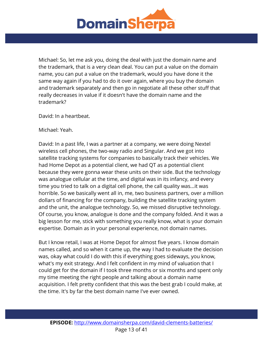

Michael: So, let me ask you, doing the deal with just the domain name and the trademark, that is a very clean deal. You can put a value on the domain name, you can put a value on the trademark, would you have done it the same way again if you had to do it over again, where you buy the domain and trademark separately and then go in negotiate all these other stuff that really decreases in value if it doesn't have the domain name and the trademark?

David: In a heartbeat.

Michael: Yeah.

David: In a past life, I was a partner at a company, we were doing Nextel wireless cell phones, the two-way radio and Singular. And we got into satellite tracking systems for companies to basically track their vehicles. We had Home Depot as a potential client, we had QT as a potential client because they were gonna wear these units on their side. But the technology was analogue cellular at the time, and digital was in its infancy, and every time you tried to talk on a digital cell phone, the call quality was...it was horrible. So we basically went all in, me, two business partners, over a million dollars of financing for the company, building the satellite tracking system and the unit, the analogue technology. So, we missed disruptive technology. Of course, you know, analogue is done and the company folded. And it was a big lesson for me, stick with something you really know, what is your domain expertise. Domain as in your personal experience, not domain names.

But I know retail, I was at Home Depot for almost five years. I know domain names called, and so when it came up, the way I had to evaluate the decision was, okay what could I do with this if everything goes sideways, you know, what's my exit strategy. And I felt confident in my mind of valuation that I could get for the domain if I took three months or six months and spent only my time meeting the right people and talking about a domain name acquisition. I felt pretty confident that this was the best grab I could make, at the time. It's by far the best domain name I've ever owned.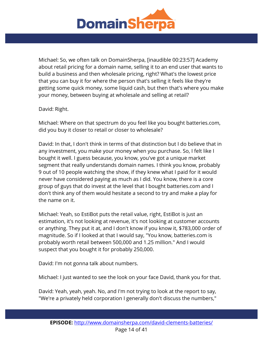

Michael: So, we often talk on DomainSherpa, [inaudible 00:23:57] Academy about retail pricing for a domain name, selling it to an end user that wants to build a business and then wholesale pricing, right? What's the lowest price that you can buy it for where the person that's selling it feels like they're getting some quick money, some liquid cash, but then that's where you make your money, between buying at wholesale and selling at retail?

David: Right.

Michael: Where on that spectrum do you feel like you bought batteries.com, did you buy it closer to retail or closer to wholesale?

David: In that, I don't think in terms of that distinction but I do believe that in any investment, you make your money when you purchase. So, I felt like I bought it well. I guess because, you know, you've got a unique market segment that really understands domain names. I think you know, probably 9 out of 10 people watching the show, if they knew what I paid for it would never have considered paying as much as I did. You know, there is a core group of guys that do invest at the level that I bought batteries.com and I don't think any of them would hesitate a second to try and make a play for the name on it.

Michael: Yeah, so EstiBot puts the retail value, right, EstiBot is just an estimation, it's not looking at revenue, it's not looking at customer accounts or anything. They put it at, and I don't know if you know it, \$783,000 order of magnitude. So if I looked at that I would say, "You know, batteries.com is probably worth retail between 500,000 and 1.25 million." And I would suspect that you bought it for probably 250,000.

David: I'm not gonna talk about numbers.

Michael: I just wanted to see the look on your face David, thank you for that.

David: Yeah, yeah, yeah. No, and I'm not trying to look at the report to say, "We're a privately held corporation I generally don't discuss the numbers,"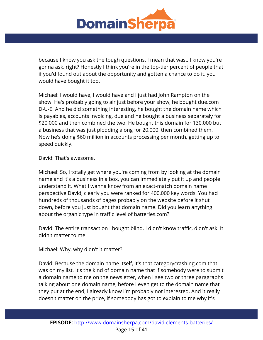

because I know you ask the tough questions. I mean that was...I know you're gonna ask, right? Honestly I think you're in the top-tier percent of people that if you'd found out about the opportunity and gotten a chance to do it, you would have bought it too.

Michael: I would have, I would have and I just had John Rampton on the show. He's probably going to air just before your show, he bought due.com D-U-E. And he did something interesting, he bought the domain name which is payables, accounts invoicing, due and he bought a business separately for \$20,000 and then combined the two. He bought this domain for 130,000 but a business that was just plodding along for 20,000, then combined them. Now he's doing \$60 million in accounts processing per month, getting up to speed quickly.

David: That's awesome.

Michael: So, I totally get where you're coming from by looking at the domain name and it's a business in a box, you can immediately put it up and people understand it. What I wanna know from an exact-match domain name perspective David, clearly you were ranked for 400,000 key words. You had hundreds of thousands of pages probably on the website before it shut down, before you just bought that domain name. Did you learn anything about the organic type in traffic level of batteries.com?

David: The entire transaction I bought blind. I didn't know traffic, didn't ask. It didn't matter to me.

Michael: Why, why didn't it matter?

David: Because the domain name itself, it's that categorycrashing.com that was on my list. It's the kind of domain name that if somebody were to submit a domain name to me on the newsletter, when I see two or three paragraphs talking about one domain name, before I even get to the domain name that they put at the end, I already know I'm probably not interested. And it really doesn't matter on the price, if somebody has got to explain to me why it's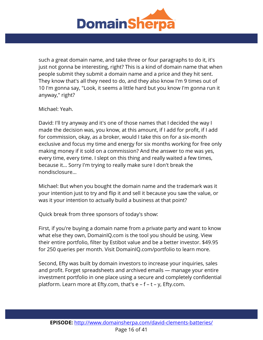

such a great domain name, and take three or four paragraphs to do it, it's just not gonna be interesting, right? This is a kind of domain name that when people submit they submit a domain name and a price and they hit sent. They know that's all they need to do, and they also know I'm 9 times out of 10 I'm gonna say, "Look, it seems a little hard but you know I'm gonna run it anyway," right?

Michael: Yeah.

David: I'll try anyway and it's one of those names that I decided the way I made the decision was, you know, at this amount, if I add for profit, if I add for commission, okay, as a broker, would I take this on for a six-month exclusive and focus my time and energy for six months working for free only making money if it sold on a commission? And the answer to me was yes, every time, every time. I slept on this thing and really waited a few times, because it... Sorry I'm trying to really make sure I don't break the nondisclosure...

Michael: But when you bought the domain name and the trademark was it your intention just to try and flip it and sell it because you saw the value, or was it your intention to actually build a business at that point?

Quick break from three sponsors of today's show:

First, if you're buying a domain name from a private party and want to know what else they own, DomainIQ.com is the tool you should be using. View their entire portfolio, filter by Estibot value and be a better investor. \$49.95 for 250 queries per month. Visit DomainIQ.com/portfolio to learn more.

Second, Efty was built by domain investors to increase your inquiries, sales and profit. Forget spreadsheets and archived emails — manage your entire investment portfolio in one place using a secure and completely confidential platform. Learn more at Efty.com, that's e – f – t – y, Efty.com.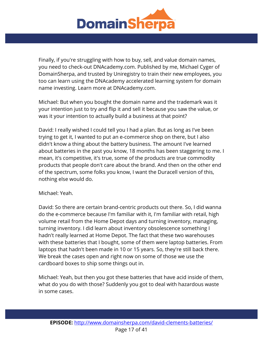

Finally, if you're struggling with how to buy, sell, and value domain names, you need to check-out DNAcademy.com. Published by me, Michael Cyger of DomainSherpa, and trusted by Uniregistry to train their new employees, you too can learn using the DNAcademy accelerated learning system for domain name investing. Learn more at DNAcademy.com.

Michael: But when you bought the domain name and the trademark was it your intention just to try and flip it and sell it because you saw the value, or was it your intention to actually build a business at that point?

David: I really wished I could tell you I had a plan. But as long as I've been trying to get it, I wanted to put an e-commerce shop on there, but I also didn't know a thing about the battery business. The amount I've learned about batteries in the past you know, 18 months has been staggering to me. I mean, it's competitive, it's true, some of the products are true commodity products that people don't care about the brand. And then on the other end of the spectrum, some folks you know, I want the Duracell version of this, nothing else would do.

Michael: Yeah.

David: So there are certain brand-centric products out there. So, I did wanna do the e-commerce because I'm familiar with it, I'm familiar with retail, high volume retail from the Home Depot days and turning inventory, managing, turning inventory. I did learn about inventory obsolescence something I hadn't really learned at Home Depot. The fact that these two warehouses with these batteries that I bought, some of them were laptop batteries. From laptops that hadn't been made in 10 or 15 years. So, they're still back there. We break the cases open and right now on some of those we use the cardboard boxes to ship some things out in.

Michael: Yeah, but then you got these batteries that have acid inside of them, what do you do with those? Suddenly you got to deal with hazardous waste in some cases.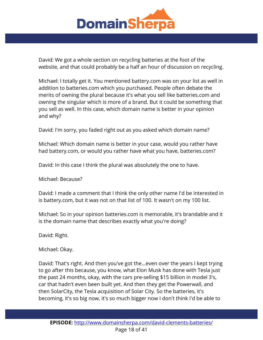

David: We got a whole section on recycling batteries at the foot of the website, and that could probably be a half an hour of discussion on recycling.

Michael: I totally get it. You mentioned battery.com was on your list as well in addition to batteries.com which you purchased. People often debate the merits of owning the plural because it's what you sell like batteries.com and owning the singular which is more of a brand. But it could be something that you sell as well. In this case, which domain name is better in your opinion and why?

David: I'm sorry, you faded right out as you asked which domain name?

Michael: Which domain name is better in your case, would you rather have had battery.com, or would you rather have what you have, batteries.com?

David: In this case I think the plural was absolutely the one to have.

Michael: Because?

David: I made a comment that I think the only other name I'd be interested in is battery.com, but it was not on that list of 100. It wasn't on my 100 list.

Michael: So in your opinion batteries.com is memorable, it's brandable and it is the domain name that describes exactly what you're doing?

David: Right.

Michael: Okay.

David: That's right. And then you've got the...even over the years I kept trying to go after this because, you know, what Elon Musk has done with Tesla just the past 24 months, okay, with the cars pre-selling \$15 billion in model 3's, car that hadn't even been built yet. And then they get the Powerwall, and then SolarCity, the Tesla acquisition of Solar City. So the batteries, it's becoming, it's so big now, it's so much bigger now I don't think I'd be able to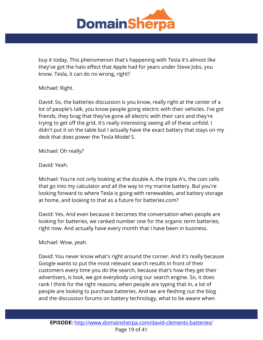

buy it today. This phenomenon that's happening with Tesla it's almost like they've got the halo effect that Apple had for years under Steve Jobs, you know. Tesla, it can do no wrong, right?

Michael: Right.

David: So, the batteries discussion is you know, really right at the center of a lot of people's talk, you know people going electric with their vehicles. I've got friends, they brag that they've gone all electric with their cars and they're trying to get off the grid. It's really interesting seeing all of these unfold. I didn't put it on the table but I actually have the exact battery that stays on my desk that does power the Tesla Model S.

Michael: Oh really?

David: Yeah.

Michael: You're not only looking at the double A, the triple A's, the coin cells that go into my calculator and all the way to my marine battery. But you're looking forward to where Tesla is going with renewables, and battery storage at home, and looking to that as a future for batteries.com?

David: Yes. And even because it becomes the conversation when people are looking for batteries, we ranked number one for the organic term batteries, right now. And actually have every month that I have been in business.

Michael: Wow, yeah.

David: You never know what's right around the corner. And it's really because Google wants to put the most relevant search results in front of their customers every time you do the search, because that's how they get their advertisers, is look, we got everybody using our search engine. So, it does rank I think for the right reasons, when people are typing that in, a lot of people are looking to purchase batteries. And we are fleshing out the blog and the discussion forums on battery technology, what to be aware when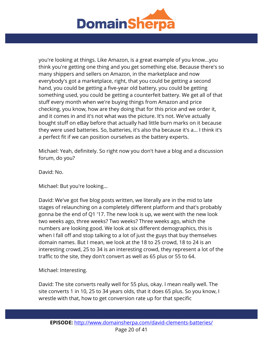

you're looking at things. Like Amazon, is a great example of you know...you think you're getting one thing and you get something else. Because there's so many shippers and sellers on Amazon, in the marketplace and now everybody's got a marketplace, right, that you could be getting a second hand, you could be getting a five-year old battery, you could be getting something used, you could be getting a counterfeit battery. We get all of that stuff every month when we're buying things from Amazon and price checking, you know, how are they doing that for this price and we order it, and it comes in and it's not what was the picture. It's not. We've actually bought stuff on eBay before that actually had little burn marks on it because they were used batteries. So, batteries, it's also tha because it's a... I think it's a perfect fit if we can position ourselves as the battery experts.

Michael: Yeah, definitely. So right now you don't have a blog and a discussion forum, do you?

David: No.

Michael: But you're looking...

David: We've got five blog posts written, we literally are in the mid to late stages of relaunching on a completely different platform and that's probably gonna be the end of Q1 '17. The new look is up, we went with the new look two weeks ago, three weeks? Two weeks? Three weeks ago, which the numbers are looking good. We look at six different demographics, this is when I fall off and stop talking to a lot of just the guys that buy themselves domain names. But I mean, we look at the 18 to 25 crowd, 18 to 24 is an interesting crowd, 25 to 34 is an interesting crowd, they represent a lot of the traffic to the site, they don't convert as well as 65 plus or 55 to 64.

Michael: Interesting.

David: The site converts really well for 55 plus, okay. I mean really well. The site converts 1 in 10, 25 to 34 years olds, that it does 65 plus. So you know, I wrestle with that, how to get conversion rate up for that specific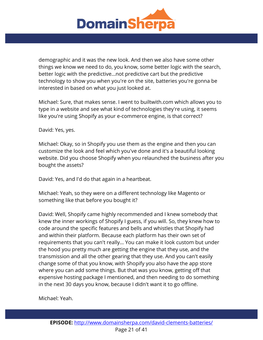

demographic and it was the new look. And then we also have some other things we know we need to do, you know, some better logic with the search, better logic with the predictive...not predictive cart but the predictive technology to show you when you're on the site, batteries you're gonna be interested in based on what you just looked at.

Michael: Sure, that makes sense. I went to builtwith.com which allows you to type in a website and see what kind of technologies they're using, it seems like you're using Shopify as your e-commerce engine, is that correct?

David: Yes, yes.

Michael: Okay, so in Shopify you use them as the engine and then you can customize the look and feel which you've done and it's a beautiful looking website. Did you choose Shopify when you relaunched the business after you bought the assets?

David: Yes, and I'd do that again in a heartbeat.

Michael: Yeah, so they were on a different technology like Magento or something like that before you bought it?

David: Well, Shopify came highly recommended and I knew somebody that knew the inner workings of Shopify I guess, if you will. So, they knew how to code around the specific features and bells and whistles that Shopify had and within their platform. Because each platform has their own set of requirements that you can't really... You can make it look custom but under the hood you pretty much are getting the engine that they use, and the transmission and all the other gearing that they use. And you can't easily change some of that you know, with Shopify you also have the app store where you can add some things. But that was you know, getting off that expensive hosting package I mentioned, and then needing to do something in the next 30 days you know, because I didn't want it to go offline.

Michael: Yeah.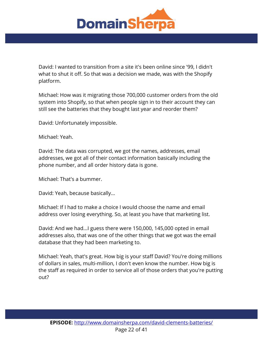

David: I wanted to transition from a site it's been online since '99, I didn't what to shut it off. So that was a decision we made, was with the Shopify platform.

Michael: How was it migrating those 700,000 customer orders from the old system into Shopify, so that when people sign in to their account they can still see the batteries that they bought last year and reorder them?

David: Unfortunately impossible.

Michael: Yeah.

David: The data was corrupted, we got the names, addresses, email addresses, we got all of their contact information basically including the phone number, and all order history data is gone.

Michael: That's a bummer.

David: Yeah, because basically...

Michael: If I had to make a choice I would choose the name and email address over losing everything. So, at least you have that marketing list.

David: And we had...I guess there were 150,000, 145,000 opted in email addresses also, that was one of the other things that we got was the email database that they had been marketing to.

Michael: Yeah, that's great. How big is your staff David? You're doing millions of dollars in sales, multi-million, I don't even know the number. How big is the staff as required in order to service all of those orders that you're putting out?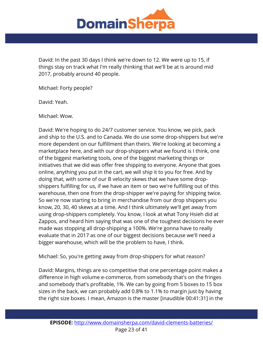

David: In the past 30 days I think we're down to 12. We were up to 15, if things stay on track what I'm really thinking that we'll be at is around mid 2017, probably around 40 people.

Michael: Forty people?

David: Yeah.

Michael: Wow.

David: We're hoping to do 24/7 customer service. You know, we pick, pack and ship to the U.S. and to Canada. We do use some drop-shippers but we're more dependent on our fulfillment than theirs. We're looking at becoming a marketplace here, and with our drop-shippers what we found is I think, one of the biggest marketing tools, one of the biggest marketing things or initiatives that we did was offer free shipping to everyone. Anyone that goes online, anything you put in the cart, we will ship it to you for free. And by doing that, with some of our B velocity skews that we have some dropshippers fulfilling for us, if we have an item or two we're fulfilling out of this warehouse, then one from the drop-shipper we're paying for shipping twice. So we're now starting to bring in merchandise from our drop shippers you know, 20, 30, 40 skews at a time. And I think ultimately we'll get away from using drop-shippers completely. You know, I look at what Tony Hsieh did at Zappos, and heard him saying that was one of the toughest decisions he ever made was stopping all drop-shipping a 100%. We're gonna have to really evaluate that in 2017 as one of our biggest decisions because we'll need a bigger warehouse, which will be the problem to have, I think.

Michael: So, you're getting away from drop-shippers for what reason?

David: Margins, things are so competitive that one percentage point makes a difference in high volume e-commerce, from somebody that's on the fringes and somebody that's profitable, 1%. We can by going from 5 boxes to 15 box sizes in the back, we can probably add 0.8% to 1.1% to margin just by having the right size boxes. I mean, Amazon is the master [inaudible 00:41:31] in the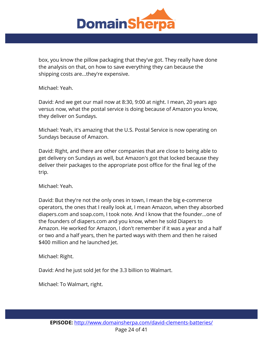

box, you know the pillow packaging that they've got. They really have done the analysis on that, on how to save everything they can because the shipping costs are...they're expensive.

Michael: Yeah.

David: And we get our mail now at 8:30, 9:00 at night. I mean, 20 years ago versus now, what the postal service is doing because of Amazon you know, they deliver on Sundays.

Michael: Yeah, it's amazing that the U.S. Postal Service is now operating on Sundays because of Amazon.

David: Right, and there are other companies that are close to being able to get delivery on Sundays as well, but Amazon's got that locked because they deliver their packages to the appropriate post office for the final leg of the trip.

Michael: Yeah.

David: But they're not the only ones in town, I mean the big e-commerce operators, the ones that I really look at, I mean Amazon, when they absorbed diapers.com and soap.com, I took note. And I know that the founder...one of the founders of diapers.com and you know, when he sold Diapers to Amazon. He worked for Amazon, I don't remember if it was a year and a half or two and a half years, then he parted ways with them and then he raised \$400 million and he launched Jet.

Michael: Right.

David: And he just sold Jet for the 3.3 billion to Walmart.

Michael: To Walmart, right.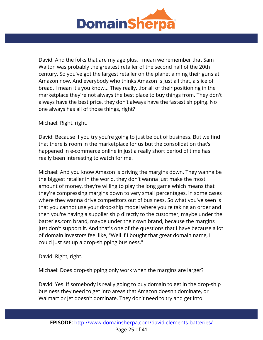

David: And the folks that are my age plus, I mean we remember that Sam Walton was probably the greatest retailer of the second half of the 20th century. So you've got the largest retailer on the planet aiming their guns at Amazon now. And everybody who thinks Amazon is just all that, a slice of bread, I mean it's you know... They really...for all of their positioning in the marketplace they're not always the best place to buy things from. They don't always have the best price, they don't always have the fastest shipping. No one always has all of those things, right?

Michael: Right, right.

David: Because if you try you're going to just be out of business. But we find that there is room in the marketplace for us but the consolidation that's happened in e-commerce online in just a really short period of time has really been interesting to watch for me.

Michael: And you know Amazon is driving the margins down. They wanna be the biggest retailer in the world, they don't wanna just make the most amount of money, they're willing to play the long game which means that they're compressing margins down to very small percentages, in some cases where they wanna drive competitors out of business. So what you've seen is that you cannot use your drop-ship model where you're taking an order and then you're having a supplier ship directly to the customer, maybe under the batteries.com brand, maybe under their own brand, because the margins just don't support it. And that's one of the questions that I have because a lot of domain investors feel like, "Well if I bought that great domain name, I could just set up a drop-shipping business."

David: Right, right.

Michael: Does drop-shipping only work when the margins are larger?

David: Yes. If somebody is really going to buy domain to get in the drop-ship business they need to get into areas that Amazon doesn't dominate, or Walmart or Jet doesn't dominate. They don't need to try and get into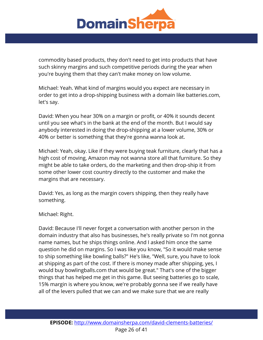

commodity based products, they don't need to get into products that have such skinny margins and such competitive periods during the year when you're buying them that they can't make money on low volume.

Michael: Yeah. What kind of margins would you expect are necessary in order to get into a drop-shipping business with a domain like batteries.com, let's say.

David: When you hear 30% on a margin or profit, or 40% it sounds decent until you see what's in the bank at the end of the month. But I would say anybody interested in doing the drop-shipping at a lower volume, 30% or 40% or better is something that they're gonna wanna look at.

Michael: Yeah, okay. Like if they were buying teak furniture, clearly that has a high cost of moving, Amazon may not wanna store all that furniture. So they might be able to take orders, do the marketing and then drop-ship it from some other lower cost country directly to the customer and make the margins that are necessary.

David: Yes, as long as the margin covers shipping, then they really have something.

Michael: Right.

David: Because I'll never forget a conversation with another person in the domain industry that also has businesses, he's really private so I'm not gonna name names, but he ships things online. And I asked him once the same question he did on margins. So I was like you know, "So it would make sense to ship something like bowling balls?" He's like, "Well, sure, you have to look at shipping as part of the cost. If there is money made after shipping, yes, I would buy bowlingballs.com that would be great." That's one of the bigger things that has helped me get in this game. But seeing batteries go to scale, 15% margin is where you know, we're probably gonna see if we really have all of the levers pulled that we can and we make sure that we are really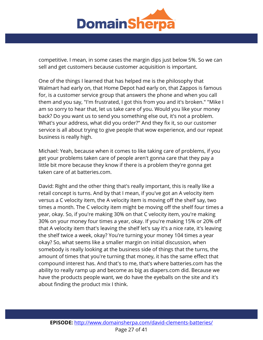

competitive. I mean, in some cases the margin dips just below 5%. So we can sell and get customers because customer acquisition is important.

One of the things I learned that has helped me is the philosophy that Walmart had early on, that Home Depot had early on, that Zappos is famous for, is a customer service group that answers the phone and when you call them and you say, "I'm frustrated, I got this from you and it's broken." "Mike I am so sorry to hear that, let us take care of you. Would you like your money back? Do you want us to send you something else out, it's not a problem. What's your address, what did you order?" And they fix it, so our customer service is all about trying to give people that wow experience, and our repeat business is really high.

Michael: Yeah, because when it comes to like taking care of problems, if you get your problems taken care of people aren't gonna care that they pay a little bit more because they know if there is a problem they're gonna get taken care of at batteries.com.

David: Right and the other thing that's really important, this is really like a retail concept is turns. And by that I mean, if you've got an A velocity item versus a C velocity item, the A velocity item is moving off the shelf say, two times a month. The C velocity item might be moving off the shelf four times a year, okay. So, if you're making 30% on that C velocity item, you're making 30% on your money four times a year, okay. If you're making 15% or 20% off that A velocity item that's leaving the shelf let's say it's a nice rate, it's leaving the shelf twice a week, okay? You're turning your money 104 times a year okay? So, what seems like a smaller margin on initial discussion, when somebody is really looking at the business side of things that the turns, the amount of times that you're turning that money, it has the same effect that compound interest has. And that's to me, that's where batteries.com has the ability to really ramp up and become as big as diapers.com did. Because we have the products people want, we do have the eyeballs on the site and it's about finding the product mix I think.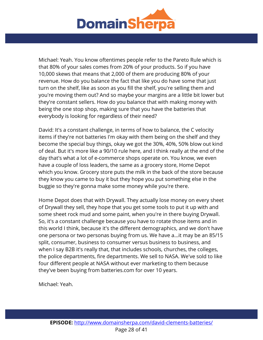

Michael: Yeah. You know oftentimes people refer to the Pareto Rule which is that 80% of your sales comes from 20% of your products. So if you have 10,000 skews that means that 2,000 of them are producing 80% of your revenue. How do you balance the fact that like you do have some that just turn on the shelf, like as soon as you fill the shelf, you're selling them and you're moving them out? And so maybe your margins are a little bit lower but they're constant sellers. How do you balance that with making money with being the one stop shop, making sure that you have the batteries that everybody is looking for regardless of their need?

David: It's a constant challenge, in terms of how to balance, the C velocity items if they're not batteries I'm okay with them being on the shelf and they become the special buy things, okay we got the 30%, 40%, 50% blow out kind of deal. But it's more like a 90/10 rule here, and I think really at the end of the day that's what a lot of e-commerce shops operate on. You know, we even have a couple of loss leaders, the same as a grocery store, Home Depot which you know. Grocery store puts the milk in the back of the store because they know you came to buy it but they hope you put something else in the buggie so they're gonna make some money while you're there.

Home Depot does that with Drywall. They actually lose money on every sheet of Drywall they sell, they hope that you get some tools to put it up with and some sheet rock mud and some paint, when you're in there buying Drywall. So, it's a constant challenge because you have to rotate those items and in this world I think, because it's the different demographics, and we don't have one persona or two personas buying from us. We have a...it may be an 85/15 split, consumer, business to consumer versus business to business, and when I say B2B it's really that, that includes schools, churches, the colleges, the police departments, fire departments. We sell to NASA. We've sold to like four different people at NASA without ever marketing to them because they've been buying from batteries.com for over 10 years.

Michael: Yeah.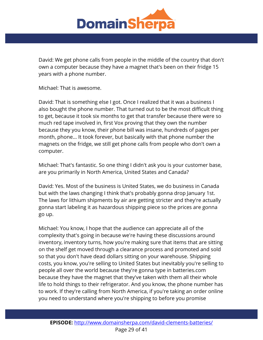

David: We get phone calls from people in the middle of the country that don't own a computer because they have a magnet that's been on their fridge 15 years with a phone number.

Michael: That is awesome.

David: That is something else I got. Once I realized that it was a business I also bought the phone number. That turned out to be the most difficult thing to get, because it took six months to get that transfer because there were so much red tape involved in, first Vox proving that they own the number because they you know, their phone bill was insane, hundreds of pages per month, phone... It took forever, but basically with that phone number the magnets on the fridge, we still get phone calls from people who don't own a computer.

Michael: That's fantastic. So one thing I didn't ask you is your customer base, are you primarily in North America, United States and Canada?

David: Yes. Most of the business is United States, we do business in Canada but with the laws changing I think that's probably gonna drop January 1st. The laws for lithium shipments by air are getting stricter and they're actually gonna start labeling it as hazardous shipping piece so the prices are gonna go up.

Michael: You know, I hope that the audience can appreciate all of the complexity that's going in because we're having these discussions around inventory, inventory turns, how you're making sure that items that are sitting on the shelf get moved through a clearance process and promoted and sold so that you don't have dead dollars sitting on your warehouse. Shipping costs, you know, you're selling to United States but inevitably you're selling to people all over the world because they're gonna type in batteries.com because they have the magnet that they've taken with them all their whole life to hold things to their refrigerator. And you know, the phone number has to work. If they're calling from North America, if you're taking an order online you need to understand where you're shipping to before you promise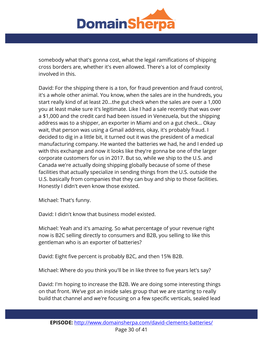

somebody what that's gonna cost, what the legal ramifications of shipping cross borders are, whether it's even allowed. There's a lot of complexity involved in this.

David: For the shipping there is a ton, for fraud prevention and fraud control, it's a whole other animal. You know, when the sales are in the hundreds, you start really kind of at least 20...the gut check when the sales are over a 1,000 you at least make sure it's legitimate. Like I had a sale recently that was over a \$1,000 and the credit card had been issued in Venezuela, but the shipping address was to a shipper, an exporter in Miami and on a gut check... Okay wait, that person was using a Gmail address, okay, it's probably fraud. I decided to dig in a little bit, it turned out it was the president of a medical manufacturing company. He wanted the batteries we had, he and I ended up with this exchange and now it looks like they're gonna be one of the larger corporate customers for us in 2017. But so, while we ship to the U.S. and Canada we're actually doing shipping globally because of some of these facilities that actually specialize in sending things from the U.S. outside the U.S. basically from companies that they can buy and ship to those facilities. Honestly I didn't even know those existed.

Michael: That's funny.

David: I didn't know that business model existed.

Michael: Yeah and it's amazing. So what percentage of your revenue right now is B2C selling directly to consumers and B2B, you selling to like this gentleman who is an exporter of batteries?

David: Eight five percent is probably B2C, and then 15% B2B.

Michael: Where do you think you'll be in like three to five years let's say?

David: I'm hoping to increase the B2B. We are doing some interesting things on that front. We've got an inside sales group that we are starting to really build that channel and we're focusing on a few specific verticals, sealed lead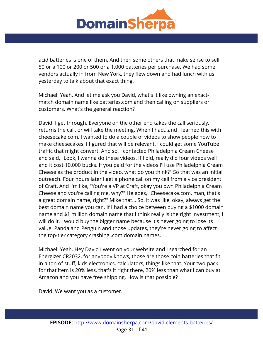

acid batteries is one of them. And then some others that make sense to sell 50 or a 100 or 200 or 500 or a 1,000 batteries per purchase. We had some vendors actually in from New York, they flew down and had lunch with us yesterday to talk about that exact thing.

Michael: Yeah. And let me ask you David, what's it like owning an exactmatch domain name like batteries.com and then calling on suppliers or customers. What's the general reaction?

David: I get through. Everyone on the other end takes the call seriously, returns the call, or will take the meeting. When I had...and I learned this with cheesecake.com, I wanted to do a couple of videos to show people how to make cheesecakes, I figured that will be relevant. I could get some YouTube traffic that might convert. And so, I contacted Philadelphia Cream Cheese and said, "Look, I wanna do these videos, if I did, really did four videos well and it cost 10,000 bucks. If you paid for the videos I'll use Philadelphia Cream Cheese as the product in the video, what do you think?" So that was an initial outreach. Four hours later I get a phone call on my cell from a vice president of Craft. And I'm like, "You're a VP at Craft, okay you own Philadelphia Cream Cheese and you're calling me, why?" He goes, "Cheesecake.com, man, that's a great domain name, right?" Mike that... So, it was like, okay, always get the best domain name you can. If I had a choice between buying a \$1000 domain name and \$1 million domain name that I think really is the right investment, I will do it. I would buy the bigger name because it's never going to lose its value. Panda and Penguin and those updates, they're never going to affect the top-tier category crashing .com domain names.

Michael: Yeah. Hey David I went on your website and I searched for an Energizer CR2032, for anybody knows, those are those coin batteries that fit in a ton of stuff, kids electronics, calculators, things like that. Your two-pack for that item is 20% less, that's it right there, 20% less than what I can buy at Amazon and you have free shipping. How is that possible?

David: We want you as a customer.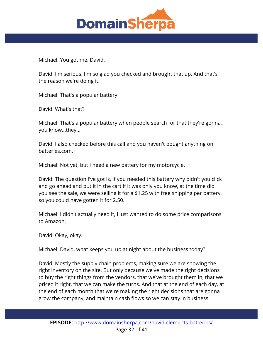

Michael: You got me, David.

David: I'm serious. I'm so glad you checked and brought that up. And that's the reason we're doing it.

Michael: That's a popular battery.

David: What's that?

Michael: That's a popular battery when people search for that they're gonna, you know...they...

David: I also checked before this call and you haven't bought anything on batteries.com.

Michael: Not yet, but I need a new battery for my motorcycle.

David: The question I've got is, if you needed this battery why didn't you click and go ahead and put it in the cart if it was only you know, at the time did you see the sale, we were selling it for a \$1.25 with free shipping per battery, so you could have gotten it for 2.50.

Michael: I didn't actually need it, I just wanted to do some price comparisons to Amazon.

David: Okay, okay.

Michael: David, what keeps you up at night about the business today?

David: Mostly the supply chain problems, making sure we are showing the right inventory on the site. But only because we've made the right decisions to buy the right things from the vendors, that we've brought them in, that we priced it right, that we can make the turns. And that at the end of each day, at the end of each month that we're making the right decisions that are gonna grow the company, and maintain cash flows so we can stay in business.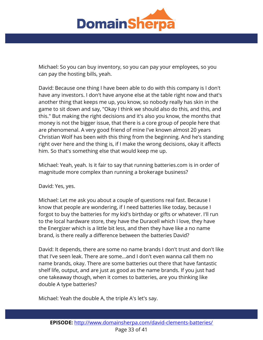

Michael: So you can buy inventory, so you can pay your employees, so you can pay the hosting bills, yeah.

David: Because one thing I have been able to do with this company is I don't have any investors. I don't have anyone else at the table right now and that's another thing that keeps me up, you know, so nobody really has skin in the game to sit down and say, "Okay I think we should also do this, and this, and this." But making the right decisions and it's also you know, the months that money is not the bigger issue, that there is a core group of people here that are phenomenal. A very good friend of mine I've known almost 20 years Christian Wolf has been with this thing from the beginning. And he's standing right over here and the thing is, if I make the wrong decisions, okay it affects him. So that's something else that would keep me up.

Michael: Yeah, yeah. Is it fair to say that running batteries.com is in order of magnitude more complex than running a brokerage business?

David: Yes, yes.

Michael: Let me ask you about a couple of questions real fast. Because I know that people are wondering, if I need batteries like today, because I forgot to buy the batteries for my kid's birthday or gifts or whatever. I'll run to the local hardware store, they have the Duracell which I love, they have the Energizer which is a little bit less, and then they have like a no name brand, is there really a difference between the batteries David?

David: It depends, there are some no name brands I don't trust and don't like that I've seen leak. There are some...and I don't even wanna call them no name brands, okay. There are some batteries out there that have fantastic shelf life, output, and are just as good as the name brands. If you just had one takeaway though, when it comes to batteries, are you thinking like double A type batteries?

Michael: Yeah the double A, the triple A's let's say.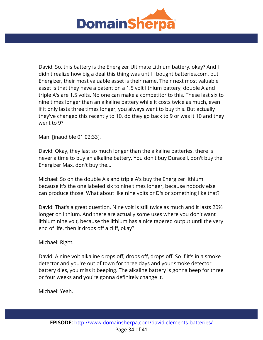

David: So, this battery is the Energizer Ultimate Lithium battery, okay? And I didn't realize how big a deal this thing was until I bought batteries.com, but Energizer, their most valuable asset is their name. Their next most valuable asset is that they have a patent on a 1.5 volt lithium battery, double A and triple A's are 1.5 volts. No one can make a competitor to this. These last six to nine times longer than an alkaline battery while it costs twice as much, even if it only lasts three times longer, you always want to buy this. But actually they've changed this recently to 10, do they go back to 9 or was it 10 and they went to 9?

Man: [inaudible 01:02:33].

David: Okay, they last so much longer than the alkaline batteries, there is never a time to buy an alkaline battery. You don't buy Duracell, don't buy the Energizer Max, don't buy the...

Michael: So on the double A's and triple A's buy the Energizer lithium because it's the one labeled six to nine times longer, because nobody else can produce those. What about like nine volts or D's or something like that?

David: That's a great question. Nine volt is still twice as much and it lasts 20% longer on lithium. And there are actually some uses where you don't want lithium nine volt, because the lithium has a nice tapered output until the very end of life, then it drops off a cliff, okay?

Michael: Right.

David: A nine volt alkaline drops off, drops off, drops off. So if it's in a smoke detector and you're out of town for three days and your smoke detector battery dies, you miss it beeping. The alkaline battery is gonna beep for three or four weeks and you're gonna definitely change it.

Michael: Yeah.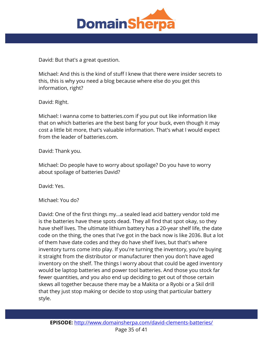

David: But that's a great question.

Michael: And this is the kind of stuff I knew that there were insider secrets to this, this is why you need a blog because where else do you get this information, right?

David: Right.

Michael: I wanna come to batteries.com if you put out like information like that on which batteries are the best bang for your buck, even though it may cost a little bit more, that's valuable information. That's what I would expect from the leader of batteries.com.

David: Thank you.

Michael: Do people have to worry about spoilage? Do you have to worry about spoilage of batteries David?

David: Yes.

Michael: You do?

David: One of the first things my...a sealed lead acid battery vendor told me is the batteries have these spots dead. They all find that spot okay, so they have shelf lives. The ultimate lithium battery has a 20-year shelf life, the date code on the thing, the ones that I've got in the back now is like 2036. But a lot of them have date codes and they do have shelf lives, but that's where inventory turns come into play. If you're turning the inventory, you're buying it straight from the distributor or manufacturer then you don't have aged inventory on the shelf. The things I worry about that could be aged inventory would be laptop batteries and power tool batteries. And those you stock far fewer quantities, and you also end up deciding to get out of those certain skews all together because there may be a Makita or a Ryobi or a Skil drill that they just stop making or decide to stop using that particular battery style.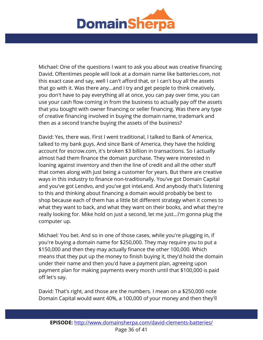

Michael: One of the questions I want to ask you about was creative financing David. Oftentimes people will look at a domain name like batteries.com, not this exact case and say, well I can't afford that, or I can't buy all the assets that go with it. Was there any...and I try and get people to think creatively, you don't have to pay everything all at once, you can pay over time, you can use your cash flow coming in from the business to actually pay off the assets that you bought with owner financing or seller financing. Was there any type of creative financing involved in buying the domain name, trademark and then as a second tranche buying the assets of the business?

David: Yes, there was. First I went traditional, I talked to Bank of America, talked to my bank guys. And since Bank of America, they have the holding account for escrow.com, it's broken \$3 billion in transactions. So I actually almost had them finance the domain purchase. They were interested in loaning against inventory and then the line of credit and all the other stuff that comes along with just being a customer for years. But there are creative ways in this industry to finance non-traditionally. You've got Domain Capital and you've got Lendvo, and you've got inteLend. And anybody that's listening to this and thinking about financing a domain would probably be best to shop because each of them has a little bit different strategy when it comes to what they want to back, and what they want on their books, and what they're really looking for. Mike hold on just a second, let me just...I'm gonna plug the computer up.

Michael: You bet. And so in one of those cases, while you're plugging in, if you're buying a domain name for \$250,000. They may require you to put a \$150,000 and then they may actually finance the other 100,000. Which means that they put up the money to finish buying it, they'd hold the domain under their name and then you'd have a payment plan, agreeing upon payment plan for making payments every month until that \$100,000 is paid off let's say.

David: That's right, and those are the numbers. I mean on a \$250,000 note Domain Capital would want 40%, a 100,000 of your money and then they'll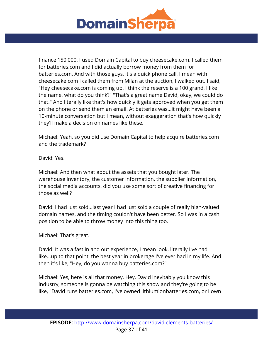

finance 150,000. I used Domain Capital to buy cheesecake.com. I called them for batteries.com and I did actually borrow money from them for batteries.com. And with those guys, it's a quick phone call, I mean with cheesecake.com I called them from Milan at the auction, I walked out. I said, "Hey cheesecake.com is coming up. I think the reserve is a 100 grand, I like the name, what do you think?" "That's a great name David, okay, we could do that." And literally like that's how quickly it gets approved when you get them on the phone or send them an email. At batteries was...it might have been a 10-minute conversation but I mean, without exaggeration that's how quickly they'll make a decision on names like these.

Michael: Yeah, so you did use Domain Capital to help acquire batteries.com and the trademark?

David: Yes.

Michael: And then what about the assets that you bought later. The warehouse inventory, the customer information, the supplier information, the social media accounts, did you use some sort of creative financing for those as well?

David: I had just sold...last year I had just sold a couple of really high-valued domain names, and the timing couldn't have been better. So I was in a cash position to be able to throw money into this thing too.

Michael: That's great.

David: It was a fast in and out experience, I mean look, literally I've had like...up to that point, the best year in brokerage I've ever had in my life. And then it's like, "Hey, do you wanna buy batteries.com?"

Michael: Yes, here is all that money. Hey, David inevitably you know this industry, someone is gonna be watching this show and they're going to be like, "David runs batteries.com, I've owned lithiumionbatteries.com, or I own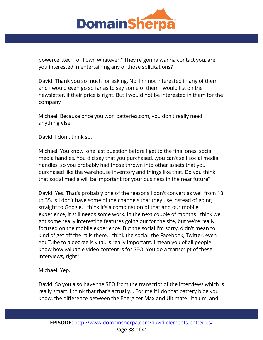

powercell.tech, or I own whatever." They're gonna wanna contact you, are you interested in entertaining any of those solicitations?

David: Thank you so much for asking. No, I'm not interested in any of them and I would even go so far as to say some of them I would list on the newsletter, if their price is right. But I would not be interested in them for the company

Michael: Because once you won batteries.com, you don't really need anything else.

David: I don't think so.

Michael: You know, one last question before I get to the final ones, social media handles. You did say that you purchased...you can't sell social media handles, so you probably had those thrown into other assets that you purchased like the warehouse inventory and things like that. Do you think that social media will be important for your business in the near future?

David: Yes. That's probably one of the reasons I don't convert as well from 18 to 35, is I don't have some of the channels that they use instead of going straight to Google. I think it's a combination of that and our mobile experience, it still needs some work. In the next couple of months I think we got some really interesting features going out for the site, but we're really focused on the mobile experience. But the social I'm sorry, didn't mean to kind of get off the rails there. I think the social, the Facebook, Twitter, even YouTube to a degree is vital, is really important. I mean you of all people know how valuable video content is for SEO. You do a transcript of these interviews, right?

Michael: Yep.

David: So you also have the SEO from the transcript of the interviews which is really smart. I think that that's actually... For me if I do that battery blog you know, the difference between the Energizer Max and Ultimate Lithium, and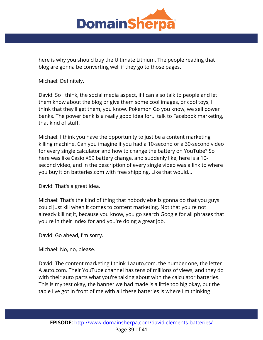

here is why you should buy the Ultimate Lithium. The people reading that blog are gonna be converting well if they go to those pages.

Michael: Definitely.

David: So I think, the social media aspect, if I can also talk to people and let them know about the blog or give them some cool images, or cool toys, I think that they'll get them, you know. Pokemon Go you know, we sell power banks. The power bank is a really good idea for... talk to Facebook marketing, that kind of stuff.

Michael: I think you have the opportunity to just be a content marketing killing machine. Can you imagine if you had a 10-second or a 30-second video for every single calculator and how to change the battery on YouTube? So here was like Casio X59 battery change, and suddenly like, here is a 10 second video, and in the description of every single video was a link to where you buy it on batteries.com with free shipping. Like that would...

David: That's a great idea.

Michael: That's the kind of thing that nobody else is gonna do that you guys could just kill when it comes to content marketing. Not that you're not already killing it, because you know, you go search Google for all phrases that you're in their index for and you're doing a great job.

David: Go ahead, I'm sorry.

Michael: No, no, please.

David: The content marketing I think 1aauto.com, the number one, the letter A auto.com. Their YouTube channel has tens of millions of views, and they do with their auto parts what you're talking about with the calculator batteries. This is my test okay, the banner we had made is a little too big okay, but the table I've got in front of me with all these batteries is where I'm thinking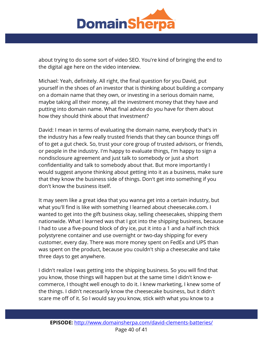

about trying to do some sort of video SEO. You're kind of bringing the end to the digital age here on the video interview.

Michael: Yeah, definitely. All right, the final question for you David, put yourself in the shoes of an investor that is thinking about building a company on a domain name that they own, or investing in a serious domain name, maybe taking all their money, all the investment money that they have and putting into domain name. What final advice do you have for them about how they should think about that investment?

David: I mean in terms of evaluating the domain name, everybody that's in the industry has a few really trusted friends that they can bounce things off of to get a gut check. So, trust your core group of trusted advisors, or friends, or people in the industry. I'm happy to evaluate things, I'm happy to sign a nondisclosure agreement and just talk to somebody or just a short confidentiality and talk to somebody about that. But more importantly I would suggest anyone thinking about getting into it as a business, make sure that they know the business side of things. Don't get into something if you don't know the business itself.

It may seem like a great idea that you wanna get into a certain industry, but what you'll find is like with something I learned about cheesecake.com. I wanted to get into the gift business okay, selling cheesecakes, shipping them nationwide. What I learned was that I got into the shipping business, because I had to use a five-pound block of dry ice, put it into a 1 and a half inch thick polystyrene container and use overnight or two-day shipping for every customer, every day. There was more money spent on FedEx and UPS than was spent on the product, because you couldn't ship a cheesecake and take three days to get anywhere.

I didn't realize I was getting into the shipping business. So you will find that you know, those things will happen but at the same time I didn't know ecommerce, I thought well enough to do it. I knew marketing, I knew some of the things. I didn't necessarily know the cheesecake business, but it didn't scare me off of it. So I would say you know, stick with what you know to a